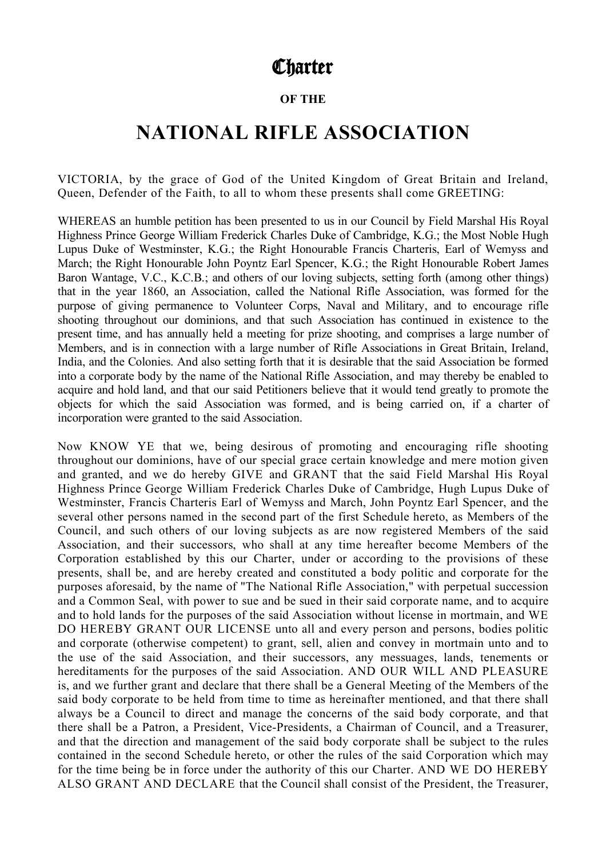# **Charter**

## **OF THE**

# **NATIONAL RIFLE ASSOCIATION**

VICTORIA, by the grace of God of the United Kingdom of Great Britain and Ireland, Queen, Defender of the Faith, to all to whom these presents shall come GREETING:

WHEREAS an humble petition has been presented to us in our Council by Field Marshal His Royal Highness Prince George William Frederick Charles Duke of Cambridge, K.G.; the Most Noble Hugh Lupus Duke of Westminster, K.G.; the Right Honourable Francis Charteris, Earl of Wemyss and March; the Right Honourable John Poyntz Earl Spencer, K.G.; the Right Honourable Robert James Baron Wantage, V.C., K.C.B.; and others of our loving subjects, setting forth (among other things) that in the year 1860, an Association, called the National Rifle Association, was formed for the purpose of giving permanence to Volunteer Corps, Naval and Military, and to encourage rifle shooting throughout our dominions, and that such Association has continued in existence to the present time, and has annually held a meeting for prize shooting, and comprises a large number of Members, and is in connection with a large number of Rifle Associations in Great Britain, Ireland, India, and the Colonies. And also setting forth that it is desirable that the said Association be formed into a corporate body by the name of the National Rifle Association, and may thereby be enabled to acquire and hold land, and that our said Petitioners believe that it would tend greatly to promote the objects for which the said Association was formed, and is being carried on, if a charter of incorporation were granted to the said Association.

Now KNOW YE that we, being desirous of promoting and encouraging rifle shooting throughout our dominions, have of our special grace certain knowledge and mere motion given and granted, and we do hereby GIVE and GRANT that the said Field Marshal His Royal Highness Prince George William Frederick Charles Duke of Cambridge, Hugh Lupus Duke of Westminster, Francis Charteris Earl of Wemyss and March, John Poyntz Earl Spencer, and the several other persons named in the second part of the first Schedule hereto, as Members of the Council, and such others of our loving subjects as are now registered Members of the said Association, and their successors, who shall at any time hereafter become Members of the Corporation established by this our Charter, under or according to the provisions of these presents, shall be, and are hereby created and constituted a body politic and corporate for the purposes aforesaid, by the name of "The National Rifle Association," with perpetual succession and a Common Seal, with power to sue and be sued in their said corporate name, and to acquire and to hold lands for the purposes of the said Association without license in mortmain, and WE DO HEREBY GRANT OUR LICENSE unto all and every person and persons, bodies politic and corporate (otherwise competent) to grant, sell, alien and convey in mortmain unto and to the use of the said Association, and their successors, any messuages, lands, tenements or hereditaments for the purposes of the said Association. AND OUR WILL AND PLEASURE is, and we further grant and declare that there shall be a General Meeting of the Members of the said body corporate to be held from time to time as hereinafter mentioned, and that there shall always be a Council to direct and manage the concerns of the said body corporate, and that there shall be a Patron, a President, Vice-Presidents, a Chairman of Council, and a Treasurer, and that the direction and management of the said body corporate shall be subject to the rules contained in the second Schedule hereto, or other the rules of the said Corporation which may for the time being be in force under the authority of this our Charter. AND WE DO HEREBY ALSO GRANT AND DECLARE that the Council shall consist of the President, the Treasurer,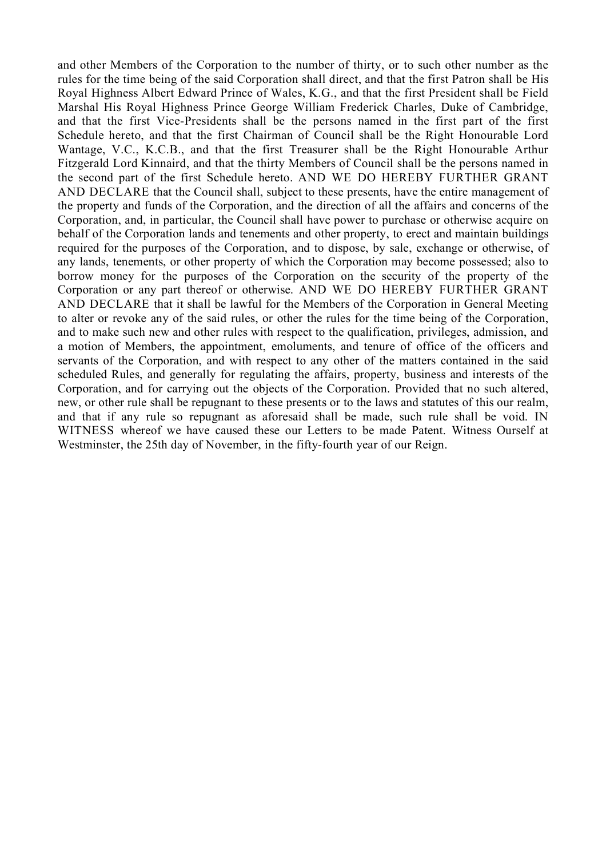and other Members of the Corporation to the number of thirty, or to such other number as the rules for the time being of the said Corporation shall direct, and that the first Patron shall be His Royal Highness Albert Edward Prince of Wales, K.G., and that the first President shall be Field Marshal His Royal Highness Prince George William Frederick Charles, Duke of Cambridge, and that the first Vice-Presidents shall be the persons named in the first part of the first Schedule hereto, and that the first Chairman of Council shall be the Right Honourable Lord Wantage, V.C., K.C.B., and that the first Treasurer shall be the Right Honourable Arthur Fitzgerald Lord Kinnaird, and that the thirty Members of Council shall be the persons named in the second part of the first Schedule hereto. AND WE DO HEREBY FURTHER GRANT AND DECLARE that the Council shall, subject to these presents, have the entire management of the property and funds of the Corporation, and the direction of all the affairs and concerns of the Corporation, and, in particular, the Council shall have power to purchase or otherwise acquire on behalf of the Corporation lands and tenements and other property, to erect and maintain buildings required for the purposes of the Corporation, and to dispose, by sale, exchange or otherwise, of any lands, tenements, or other property of which the Corporation may become possessed; also to borrow money for the purposes of the Corporation on the security of the property of the Corporation or any part thereof or otherwise. AND WE DO HEREBY FURTHER GRANT AND DECLARE that it shall be lawful for the Members of the Corporation in General Meeting to alter or revoke any of the said rules, or other the rules for the time being of the Corporation, and to make such new and other rules with respect to the qualification, privileges, admission, and a motion of Members, the appointment, emoluments, and tenure of office of the officers and servants of the Corporation, and with respect to any other of the matters contained in the said scheduled Rules, and generally for regulating the affairs, property, business and interests of the Corporation, and for carrying out the objects of the Corporation. Provided that no such altered, new, or other rule shall be repugnant to these presents or to the laws and statutes of this our realm, and that if any rule so repugnant as aforesaid shall be made, such rule shall be void. IN WITNESS whereof we have caused these our Letters to be made Patent. Witness Ourself at Westminster, the 25th day of November, in the fifty-fourth year of our Reign.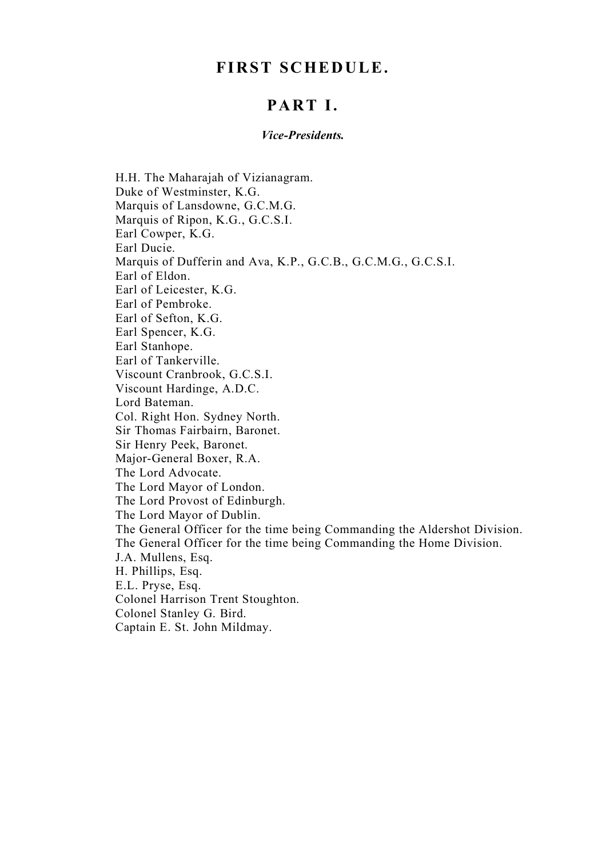# **FIRST SCHEDULE.**

# **PART I.**

#### *Vice-Presidents.*

H.H. The Maharajah of Vizianagram. Duke of Westminster, K.G. Marquis of Lansdowne, G.C.M.G. Marquis of Ripon, K.G., G.C.S.I. Earl Cowper, K.G. Earl Ducie. Marquis of Dufferin and Ava, K.P., G.C.B., G.C.M.G., G.C.S.I. Earl of Eldon. Earl of Leicester, K.G. Earl of Pembroke. Earl of Sefton, K.G. Earl Spencer, K.G. Earl Stanhope. Earl of Tankerville. Viscount Cranbrook, G.C.S.I. Viscount Hardinge, A.D.C. Lord Bateman. Col. Right Hon. Sydney North. Sir Thomas Fairbairn, Baronet. Sir Henry Peek, Baronet. Major-General Boxer, R.A. The Lord Advocate. The Lord Mayor of London. The Lord Provost of Edinburgh. The Lord Mayor of Dublin. The General Officer for the time being Commanding the Aldershot Division. The General Officer for the time being Commanding the Home Division. J.A. Mullens, Esq. H. Phillips, Esq. E.L. Pryse, Esq. Colonel Harrison Trent Stoughton. Colonel Stanley G. Bird. Captain E. St. John Mildmay.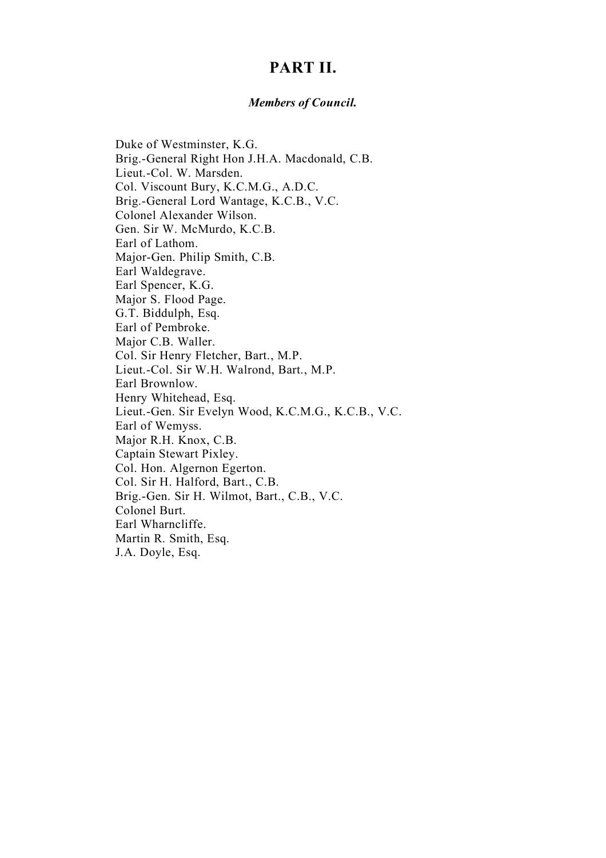# **PART II.**

### *Members of Council.*

Duke of Westminster, K.G. Brig.-General Right Hon J.H.A. Macdonald, C.B. Lieut.-Col. W. Marsden. Col. Viscount Bury, K.C.M.G., A.D.C. Brig.-General Lord Wantage, K.C.B., V.C. Colonel Alexander Wilson. Gen. Sir W. McMurdo, K.C.B. Earl of Lathom. Major-Gen. Philip Smith, C.B. Earl Waldegrave. Earl Spencer, K.G. Major S. Flood Page. G.T. Biddulph, Esq. Earl of Pembroke. Major C.B. Waller. Col. Sir Henry Fletcher, Bart., M.P. Lieut.-Col. Sir W.H. Walrond, Bart., M.P. Earl Brownlow. Henry Whitehead, Esq. Lieut.-Gen. Sir Evelyn Wood, K.C.M.G., K.C.B., V.C. Earl of Wemyss. Major R.H. Knox, C.B. Captain Stewart Pixley. Col. Hon. Algernon Egerton. Col. Sir H. Halford, Bart., C.B. Brig.-Gen. Sir H. Wilmot, Bart., C.B., V.C. Colonel Burt. Earl Wharncliffe. Martin R. Smith, Esq. J.A. Doyle, Esq.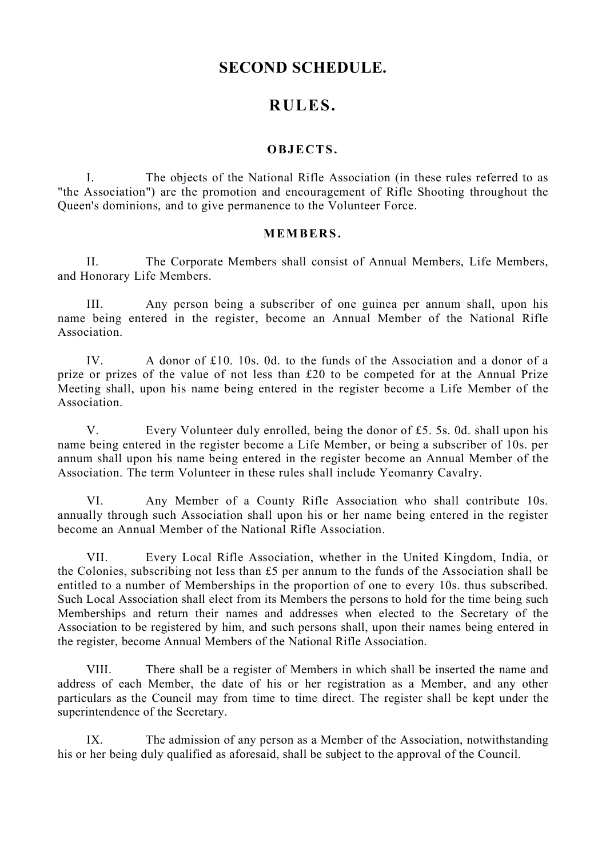# **SECOND SCHEDULE.**

# **RULES.**

## **OBJECTS .**

I. The objects of the National Rifle Association (in these rules referred to as "the Association") are the promotion and encouragement of Rifle Shooting throughout the Queen's dominions, and to give permanence to the Volunteer Force.

### **MEMBERS .**

II. The Corporate Members shall consist of Annual Members, Life Members, and Honorary Life Members.

III. Any person being a subscriber of one guinea per annum shall, upon his name being entered in the register, become an Annual Member of the National Rifle Association.

IV. A donor of £10. 10s. 0d. to the funds of the Association and a donor of a prize or prizes of the value of not less than £20 to be competed for at the Annual Prize Meeting shall, upon his name being entered in the register become a Life Member of the Association.

V. Every Volunteer duly enrolled, being the donor of £5. 5s. 0d. shall upon his name being entered in the register become a Life Member, or being a subscriber of 10s. per annum shall upon his name being entered in the register become an Annual Member of the Association. The term Volunteer in these rules shall include Yeomanry Cavalry.

VI. Any Member of a County Rifle Association who shall contribute 10s. annually through such Association shall upon his or her name being entered in the register become an Annual Member of the National Rifle Association.

VII. Every Local Rifle Association, whether in the United Kingdom, India, or the Colonies, subscribing not less than £5 per annum to the funds of the Association shall be entitled to a number of Memberships in the proportion of one to every 10s. thus subscribed. Such Local Association shall elect from its Members the persons to hold for the time being such Memberships and return their names and addresses when elected to the Secretary of the Association to be registered by him, and such persons shall, upon their names being entered in the register, become Annual Members of the National Rifle Association.

VIII. There shall be a register of Members in which shall be inserted the name and address of each Member, the date of his or her registration as a Member, and any other particulars as the Council may from time to time direct. The register shall be kept under the superintendence of the Secretary.

IX. The admission of any person as a Member of the Association, notwithstanding his or her being duly qualified as aforesaid, shall be subject to the approval of the Council.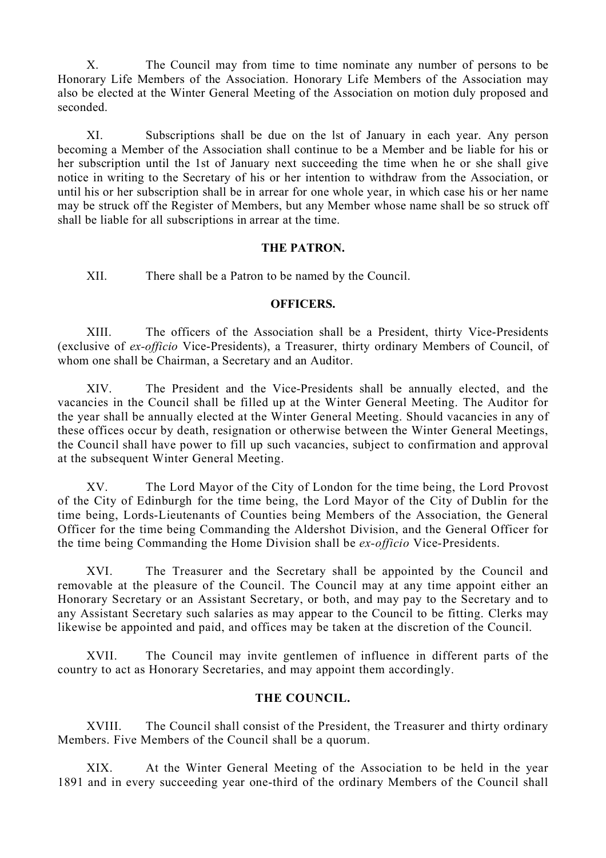X. The Council may from time to time nominate any number of persons to be Honorary Life Members of the Association. Honorary Life Members of the Association may also be elected at the Winter General Meeting of the Association on motion duly proposed and seconded.

XI. Subscriptions shall be due on the lst of January in each year. Any person becoming a Member of the Association shall continue to be a Member and be liable for his or her subscription until the 1st of January next succeeding the time when he or she shall give notice in writing to the Secretary of his or her intention to withdraw from the Association, or until his or her subscription shall be in arrear for one whole year, in which case his or her name may be struck off the Register of Members, but any Member whose name shall be so struck off shall be liable for all subscriptions in arrear at the time.

### **THE PATRON.**

XII. There shall be a Patron to be named by the Council.

### **OFFICERS.**

XIII. The officers of the Association shall be a President, thirty Vice-Presidents (exclusive of *ex-officio* Vice-Presidents), a Treasurer, thirty ordinary Members of Council, of whom one shall be Chairman, a Secretary and an Auditor.

XIV. The President and the Vice-Presidents shall be annually elected, and the vacancies in the Council shall be filled up at the Winter General Meeting. The Auditor for the year shall be annually elected at the Winter General Meeting. Should vacancies in any of these offices occur by death, resignation or otherwise between the Winter General Meetings, the Council shall have power to fill up such vacancies, subject to confirmation and approval at the subsequent Winter General Meeting.

XV. The Lord Mayor of the City of London for the time being, the Lord Provost of the City of Edinburgh for the time being, the Lord Mayor of the City of Dublin for the time being, Lords-Lieutenants of Counties being Members of the Association, the General Officer for the time being Commanding the Aldershot Division, and the General Officer for the time being Commanding the Home Division shall be *ex-officio* Vice-Presidents.

XVI. The Treasurer and the Secretary shall be appointed by the Council and removable at the pleasure of the Council. The Council may at any time appoint either an Honorary Secretary or an Assistant Secretary, or both, and may pay to the Secretary and to any Assistant Secretary such salaries as may appear to the Council to be fitting. Clerks may likewise be appointed and paid, and offices may be taken at the discretion of the Council.

XVII. The Council may invite gentlemen of influence in different parts of the country to act as Honorary Secretaries, and may appoint them accordingly.

### **THE COUNCIL.**

XVIII. The Council shall consist of the President, the Treasurer and thirty ordinary Members. Five Members of the Council shall be a quorum.

XIX. At the Winter General Meeting of the Association to be held in the year 1891 and in every succeeding year one-third of the ordinary Members of the Council shall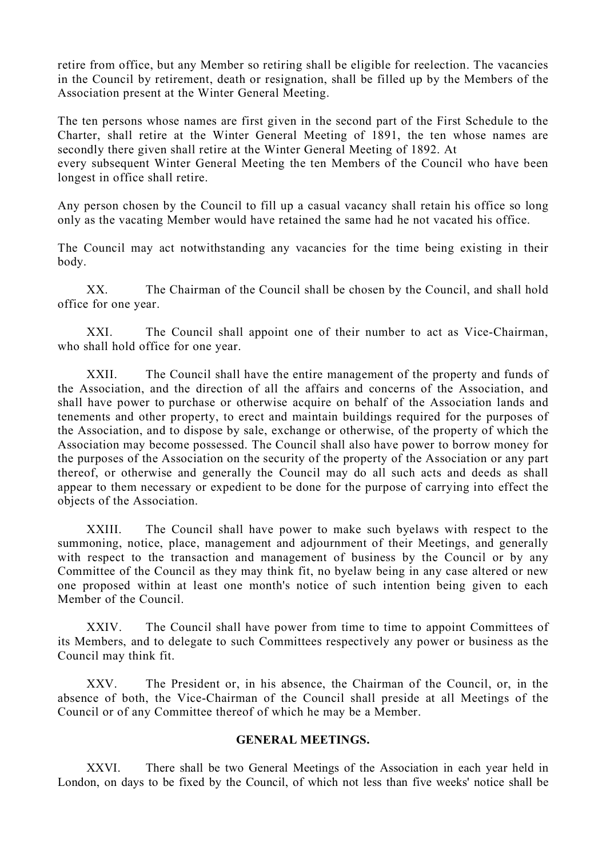retire from office, but any Member so retiring shall be eligible for reelection. The vacancies in the Council by retirement, death or resignation, shall be filled up by the Members of the Association present at the Winter General Meeting.

The ten persons whose names are first given in the second part of the First Schedule to the Charter, shall retire at the Winter General Meeting of 1891, the ten whose names are secondly there given shall retire at the Winter General Meeting of 1892. At

every subsequent Winter General Meeting the ten Members of the Council who have been longest in office shall retire.

Any person chosen by the Council to fill up a casual vacancy shall retain his office so long only as the vacating Member would have retained the same had he not vacated his office.

The Council may act notwithstanding any vacancies for the time being existing in their body.

XX. The Chairman of the Council shall be chosen by the Council, and shall hold office for one year.

XXI. The Council shall appoint one of their number to act as Vice-Chairman, who shall hold office for one year.

XXII. The Council shall have the entire management of the property and funds of the Association, and the direction of all the affairs and concerns of the Association, and shall have power to purchase or otherwise acquire on behalf of the Association lands and tenements and other property, to erect and maintain buildings required for the purposes of the Association, and to dispose by sale, exchange or otherwise, of the property of which the Association may become possessed. The Council shall also have power to borrow money for the purposes of the Association on the security of the property of the Association or any part thereof, or otherwise and generally the Council may do all such acts and deeds as shall appear to them necessary or expedient to be done for the purpose of carrying into effect the objects of the Association.

XXIII. The Council shall have power to make such byelaws with respect to the summoning, notice, place, management and adjournment of their Meetings, and generally with respect to the transaction and management of business by the Council or by any Committee of the Council as they may think fit, no byelaw being in any case altered or new one proposed within at least one month's notice of such intention being given to each Member of the Council.

XXIV. The Council shall have power from time to time to appoint Committees of its Members, and to delegate to such Committees respectively any power or business as the Council may think fit.

XXV. The President or, in his absence, the Chairman of the Council, or, in the absence of both, the Vice-Chairman of the Council shall preside at all Meetings of the Council or of any Committee thereof of which he may be a Member.

### **GENERAL MEETINGS.**

XXVI. There shall be two General Meetings of the Association in each year held in London, on days to be fixed by the Council, of which not less than five weeks' notice shall be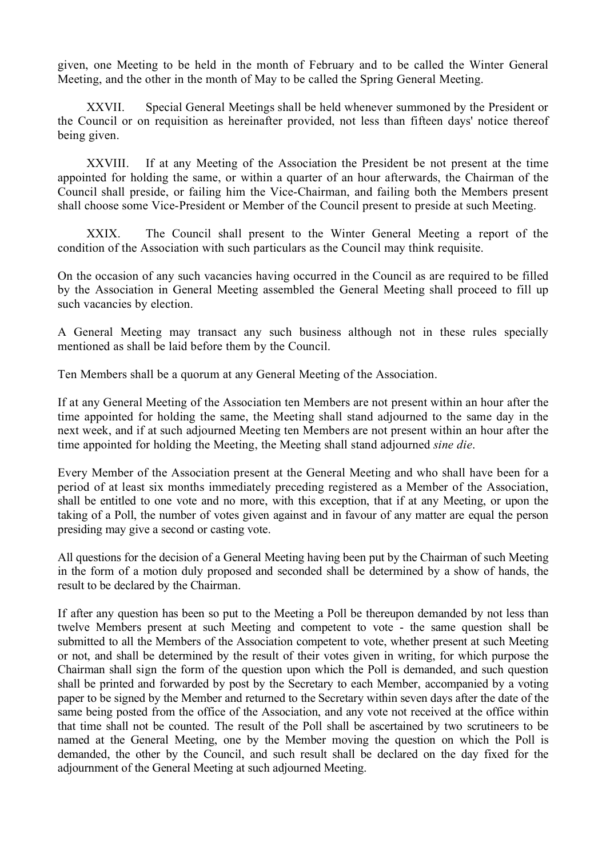given, one Meeting to be held in the month of February and to be called the Winter General Meeting, and the other in the month of May to be called the Spring General Meeting.

XXVII. Special General Meetings shall be held whenever summoned by the President or the Council or on requisition as hereinafter provided, not less than fifteen days' notice thereof being given.

XXVIII. If at any Meeting of the Association the President be not present at the time appointed for holding the same, or within a quarter of an hour afterwards, the Chairman of the Council shall preside, or failing him the Vice-Chairman, and failing both the Members present shall choose some Vice-President or Member of the Council present to preside at such Meeting.

XXIX. The Council shall present to the Winter General Meeting a report of the condition of the Association with such particulars as the Council may think requisite.

On the occasion of any such vacancies having occurred in the Council as are required to be filled by the Association in General Meeting assembled the General Meeting shall proceed to fill up such vacancies by election.

A General Meeting may transact any such business although not in these rules specially mentioned as shall be laid before them by the Council.

Ten Members shall be a quorum at any General Meeting of the Association.

If at any General Meeting of the Association ten Members are not present within an hour after the time appointed for holding the same, the Meeting shall stand adjourned to the same day in the next week, and if at such adjourned Meeting ten Members are not present within an hour after the time appointed for holding the Meeting, the Meeting shall stand adjourned *sine die*.

Every Member of the Association present at the General Meeting and who shall have been for a period of at least six months immediately preceding registered as a Member of the Association, shall be entitled to one vote and no more, with this exception, that if at any Meeting, or upon the taking of a Poll, the number of votes given against and in favour of any matter are equal the person presiding may give a second or casting vote.

All questions for the decision of a General Meeting having been put by the Chairman of such Meeting in the form of a motion duly proposed and seconded shall be determined by a show of hands, the result to be declared by the Chairman.

If after any question has been so put to the Meeting a Poll be thereupon demanded by not less than twelve Members present at such Meeting and competent to vote - the same question shall be submitted to all the Members of the Association competent to vote, whether present at such Meeting or not, and shall be determined by the result of their votes given in writing, for which purpose the Chairman shall sign the form of the question upon which the Poll is demanded, and such question shall be printed and forwarded by post by the Secretary to each Member, accompanied by a voting paper to be signed by the Member and returned to the Secretary within seven days after the date of the same being posted from the office of the Association, and any vote not received at the office within that time shall not be counted. The result of the Poll shall be ascertained by two scrutineers to be named at the General Meeting, one by the Member moving the question on which the Poll is demanded, the other by the Council, and such result shall be declared on the day fixed for the adjournment of the General Meeting at such adjourned Meeting.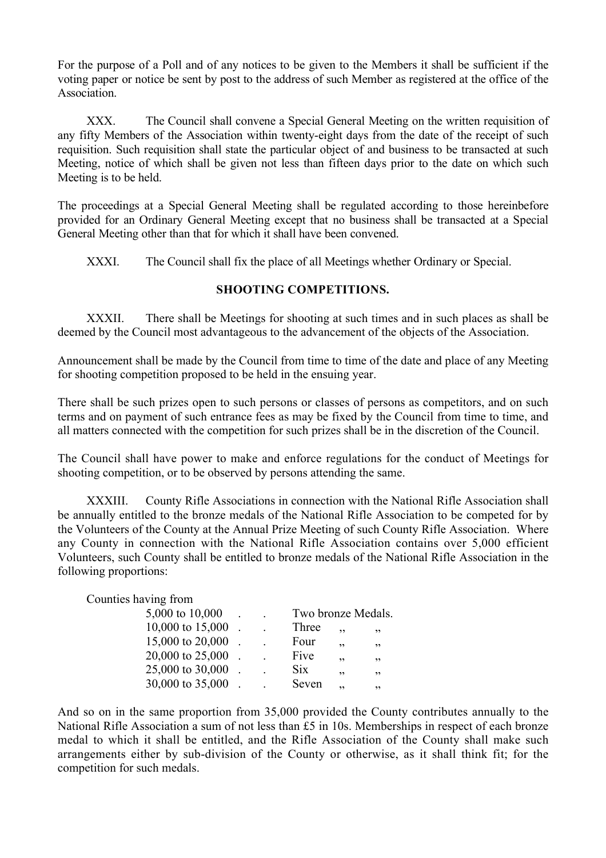For the purpose of a Poll and of any notices to be given to the Members it shall be sufficient if the voting paper or notice be sent by post to the address of such Member as registered at the office of the Association.

XXX. The Council shall convene a Special General Meeting on the written requisition of any fifty Members of the Association within twenty-eight days from the date of the receipt of such requisition. Such requisition shall state the particular object of and business to be transacted at such Meeting, notice of which shall be given not less than fifteen days prior to the date on which such Meeting is to be held.

The proceedings at a Special General Meeting shall be regulated according to those hereinbefore provided for an Ordinary General Meeting except that no business shall be transacted at a Special General Meeting other than that for which it shall have been convened.

XXXI. The Council shall fix the place of all Meetings whether Ordinary or Special.

### **SHOOTING COMPETITIONS.**

XXXII. There shall be Meetings for shooting at such times and in such places as shall be deemed by the Council most advantageous to the advancement of the objects of the Association.

Announcement shall be made by the Council from time to time of the date and place of any Meeting for shooting competition proposed to be held in the ensuing year.

There shall be such prizes open to such persons or classes of persons as competitors, and on such terms and on payment of such entrance fees as may be fixed by the Council from time to time, and all matters connected with the competition for such prizes shall be in the discretion of the Council.

The Council shall have power to make and enforce regulations for the conduct of Meetings for shooting competition, or to be observed by persons attending the same.

XXXIII. County Rifle Associations in connection with the National Rifle Association shall be annually entitled to the bronze medals of the National Rifle Association to be competed for by the Volunteers of the County at the Annual Prize Meeting of such County Rifle Association. Where any County in connection with the National Rifle Association contains over 5,000 efficient Volunteers, such County shall be entitled to bronze medals of the National Rifle Association in the following proportions:

#### Counties having from

| 5,000 to 10,000  |  | Two bronze Medals. |     |     |
|------------------|--|--------------------|-----|-----|
| 10,000 to 15,000 |  | Three              | ,,  | ,,  |
| 15,000 to 20,000 |  | Four               | ,,  | , 2 |
| 20,000 to 25,000 |  | Five               | ,,  | ,,  |
| 25,000 to 30,000 |  | Six                | ,,  | ,,  |
| 30,000 to 35,000 |  | Seven              | י י | ,,  |

And so on in the same proportion from 35,000 provided the County contributes annually to the National Rifle Association a sum of not less than £5 in 10s. Memberships in respect of each bronze medal to which it shall be entitled, and the Rifle Association of the County shall make such arrangements either by sub-division of the County or otherwise, as it shall think fit; for the competition for such medals.